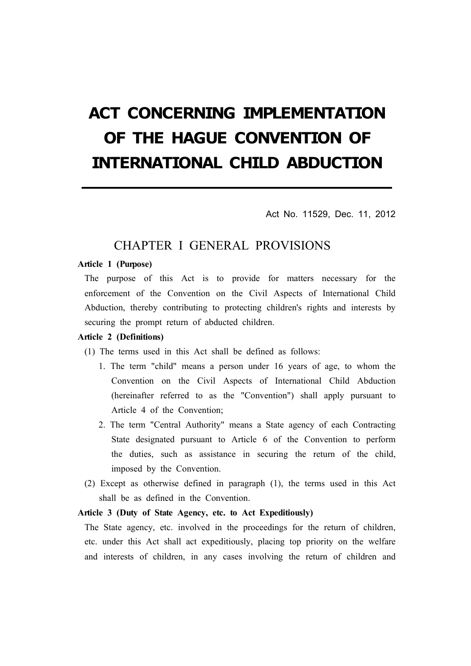# ACT CONCERNING IMPLEMENTATION OF THE HAGUE CONVENTION OF INTERNATIONAL CHILD ABDUCTION

Act No. 11529, Dec. 11, 2012

### CHAPTER I GENERAL PROVISIONS

### Article 1 (Purpose)

The purpose of this Act is to provide for matters necessary for the enforcement of the Convention on the Civil Aspects of International Child Abduction, thereby contributing to protecting children's rights and interests by securing the prompt return of abducted children.

### Article 2 (Definitions)

(1) The terms used in this Act shall be defined as follows:

- 1. The term "child" means a person under 16 years of age, to whom the Convention on the Civil Aspects of International Child Abduction (hereinafter referred to as the "Convention") shall apply pursuant to Article 4 of the Convention;
- 2. The term "Central Authority" means a State agency of each Contracting State designated pursuant to Article 6 of the Convention to perform the duties, such as assistance in securing the return of the child, imposed by the Convention.
- (2) Except as otherwise defined in paragraph (1), the terms used in this Act shall be as defined in the Convention.

### Article 3 (Duty of State Agency, etc. to Act Expeditiously)

The State agency, etc. involved in the proceedings for the return of children, etc. under this Act shall act expeditiously, placing top priority on the welfare and interests of children, in any cases involving the return of children and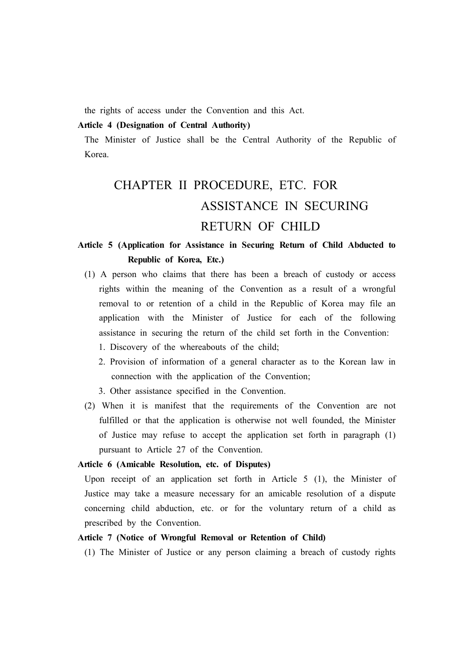the rights of access under the Convention and this Act.

### Article 4 (Designation of Central Authority)

The Minister of Justice shall be the Central Authority of the Republic of Korea.

## CHAPTER II PROCEDURE, ETC. FOR ASSISTANCE IN SECURING RETURN OF CHILD

### Article 5 (Application for Assistance in Securing Return of Child Abducted to Republic of Korea, Etc.)

- (1) A person who claims that there has been a breach of custody or access rights within the meaning of the Convention as a result of a wrongful removal to or retention of a child in the Republic of Korea may file an application with the Minister of Justice for each of the following assistance in securing the return of the child set forth in the Convention:
	- 1. Discovery of the whereabouts of the child;
	- 2. Provision of information of a general character as to the Korean law in connection with the application of the Convention;
	- 3. Other assistance specified in the Convention.
- (2) When it is manifest that the requirements of the Convention are not fulfilled or that the application is otherwise not well founded, the Minister of Justice may refuse to accept the application set forth in paragraph (1) pursuant to Article 27 of the Convention.

### Article 6 (Amicable Resolution, etc. of Disputes)

Upon receipt of an application set forth in Article  $5(1)$ , the Minister of Justice may take a measure necessary for an amicable resolution of a dispute concerning child abduction, etc. or for the voluntary return of a child as prescribed by the Convention.

### Article 7 (Notice of Wrongful Removal or Retention of Child)

(1) The Minister of Justice or any person claiming a breach of custody rights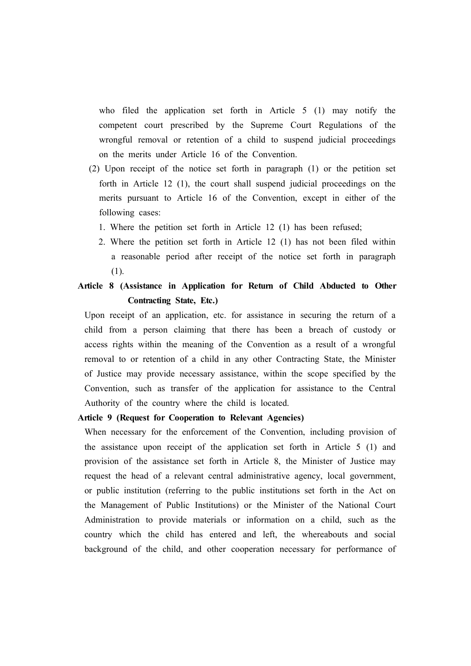who filed the application set forth in Article 5 (1) may notify the competent court prescribed by the Supreme Court Regulations of the wrongful removal or retention of a child to suspend judicial proceedings on the merits under Article 16 of the Convention.

- (2) Upon receipt of the notice set forth in paragraph (1) or the petition set forth in Article 12 (1), the court shall suspend judicial proceedings on the merits pursuant to Article 16 of the Convention, except in either of the following cases:
	- 1. Where the petition set forth in Article 12 (1) has been refused;
	- 2. Where the petition set forth in Article 12 (1) has not been filed within a reasonable period after receipt of the notice set forth in paragraph (1).

### Article 8 (Assistance in Application for Return of Child Abducted to Other Contracting State, Etc.)

Upon receipt of an application, etc. for assistance in securing the return of a child from a person claiming that there has been a breach of custody or access rights within the meaning of the Convention as a result of a wrongful removal to or retention of a child in any other Contracting State, the Minister of Justice may provide necessary assistance, within the scope specified by the Convention, such as transfer of the application for assistance to the Central Authority of the country where the child is located.

### Article 9 (Request for Cooperation to Relevant Agencies)

When necessary for the enforcement of the Convention, including provision of the assistance upon receipt of the application set forth in Article 5 (1) and provision of the assistance set forth in Article 8, the Minister of Justice may request the head of a relevant central administrative agency, local government, or public institution (referring to the public institutions set forth in the Act on the Management of Public Institutions) or the Minister of the National Court Administration to provide materials or information on a child, such as the country which the child has entered and left, the whereabouts and social background of the child, and other cooperation necessary for performance of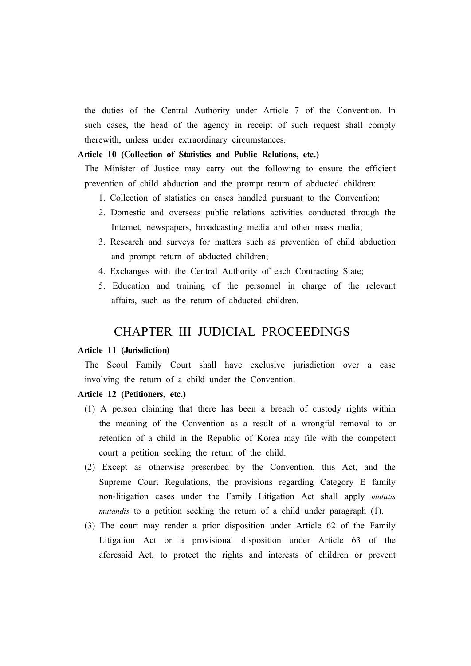the duties of the Central Authority under Article 7 of the Convention. In such cases, the head of the agency in receipt of such request shall comply therewith, unless under extraordinary circumstances.

### Article 10 (Collection of Statistics and Public Relations, etc.)

The Minister of Justice may carry out the following to ensure the efficient prevention of child abduction and the prompt return of abducted children:

- 1. Collection of statistics on cases handled pursuant to the Convention;
- 2. Domestic and overseas public relations activities conducted through the Internet, newspapers, broadcasting media and other mass media;
- 3. Research and surveys for matters such as prevention of child abduction and prompt return of abducted children;
- 4. Exchanges with the Central Authority of each Contracting State;
- 5. Education and training of the personnel in charge of the relevant affairs, such as the return of abducted children.

### CHAPTER III JUDICIAL PROCEEDINGS

#### Article 11 (Jurisdiction)

The Seoul Family Court shall have exclusive jurisdiction over a case involving the return of a child under the Convention.

### Article 12 (Petitioners, etc.)

- (1) A person claiming that there has been a breach of custody rights within the meaning of the Convention as a result of a wrongful removal to or retention of a child in the Republic of Korea may file with the competent court a petition seeking the return of the child.
- (2) Except as otherwise prescribed by the Convention, this Act, and the Supreme Court Regulations, the provisions regarding Category E family non-litigation cases under the Family Litigation Act shall apply *mutatis mutandis* to a petition seeking the return of a child under paragraph (1).
- (3) The court may render a prior disposition under Article 62 of the Family Litigation Act or a provisional disposition under Article 63 of the aforesaid Act, to protect the rights and interests of children or prevent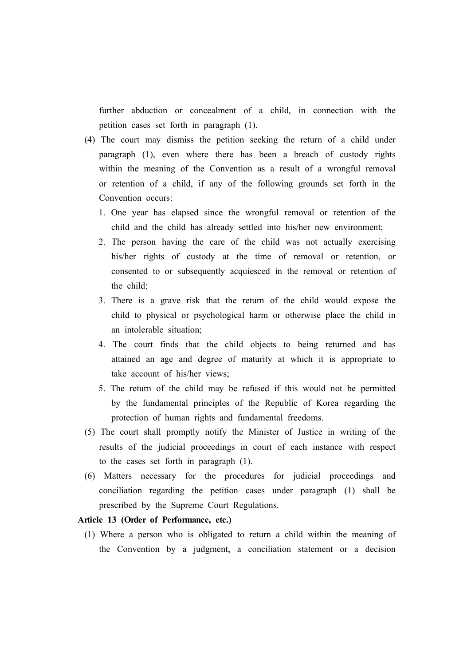further abduction or concealment of a child, in connection with the petition cases set forth in paragraph (1).

- (4) The court may dismiss the petition seeking the return of a child under paragraph (1), even where there has been a breach of custody rights within the meaning of the Convention as a result of a wrongful removal or retention of a child, if any of the following grounds set forth in the Convention occurs:
	- 1. One year has elapsed since the wrongful removal or retention of the child and the child has already settled into his/her new environment;
	- 2. The person having the care of the child was not actually exercising his/her rights of custody at the time of removal or retention, or consented to or subsequently acquiesced in the removal or retention of the child;
	- 3. There is a grave risk that the return of the child would expose the child to physical or psychological harm or otherwise place the child in an intolerable situation;
	- 4. The court finds that the child objects to being returned and has attained an age and degree of maturity at which it is appropriate to take account of his/her views;
	- 5. The return of the child may be refused if this would not be permitted by the fundamental principles of the Republic of Korea regarding the protection of human rights and fundamental freedoms.
- (5) The court shall promptly notify the Minister of Justice in writing of the results of the judicial proceedings in court of each instance with respect to the cases set forth in paragraph (1).
- (6) Matters necessary for the procedures for judicial proceedings and conciliation regarding the petition cases under paragraph (1) shall be prescribed by the Supreme Court Regulations.

### Article 13 (Order of Performance, etc.)

(1) Where a person who is obligated to return a child within the meaning of the Convention by a judgment, a conciliation statement or a decision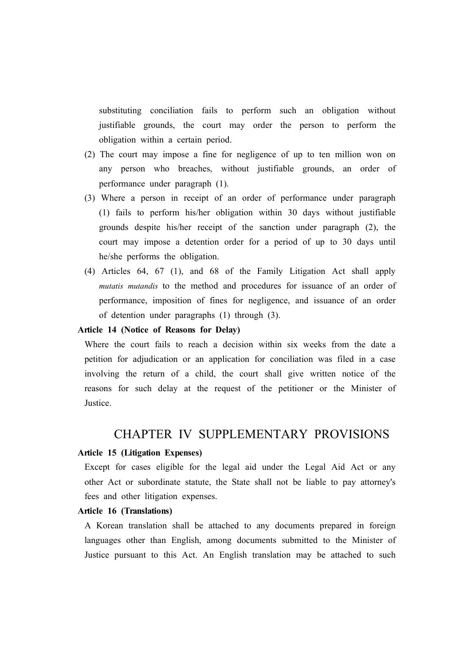substituting conciliation fails to perform such an obligation without justifiable grounds, the court may order the person to perform the obligation within a certain period.

- (2) The court may impose a fine for negligence of up to ten million won on any person who breaches, without justifiable grounds, an order of performance under paragraph (1).
- (3) Where a person in receipt of an order of performance under paragraph (1) fails to perform his/her obligation within 30 days without justifiable grounds despite his/her receipt of the sanction under paragraph (2), the court may impose a detention order for a period of up to 30 days until he/she performs the obligation.
- (4) Articles 64, 67 (1), and 68 of the Family Litigation Act shall apply *mutatis mutandis* to the method and procedures for issuance of an order of performance, imposition of fines for negligence, and issuance of an order of detention under paragraphs (1) through (3).

### Article 14 (Notice of Reasons for Delay)

Where the court fails to reach a decision within six weeks from the date a petition for adjudication or an application for conciliation was filed in a case involving the return of a child, the court shall give written notice of the reasons for such delay at the request of the petitioner or the Minister of Justice.

### CHAPTER IV SUPPLEMENTARY PROVISIONS

#### Article 15 (Litigation Expenses)

Except for cases eligible for the legal aid under the Legal Aid Act or any other Act or subordinate statute, the State shall not be liable to pay attorney's fees and other litigation expenses.

### Article 16 (Translations)

A Korean translation shall be attached to any documents prepared in foreign languages other than English, among documents submitted to the Minister of Justice pursuant to this Act. An English translation may be attached to such